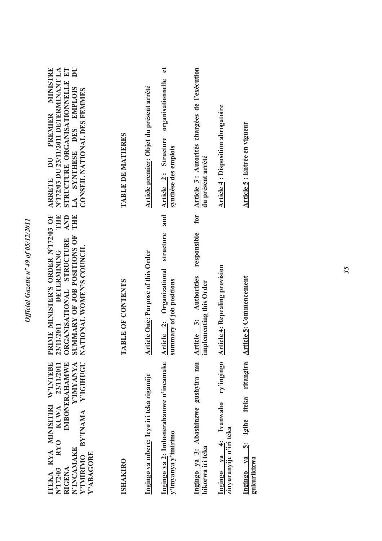| <b>10Z</b><br>$\epsilon$<br>Ì |
|-------------------------------|
| of $05/1$                     |
| 49<br>$\boldsymbol{n}^o$      |
| 07<br>ココンコフ                   |
| Official<br>.<br>- יט         |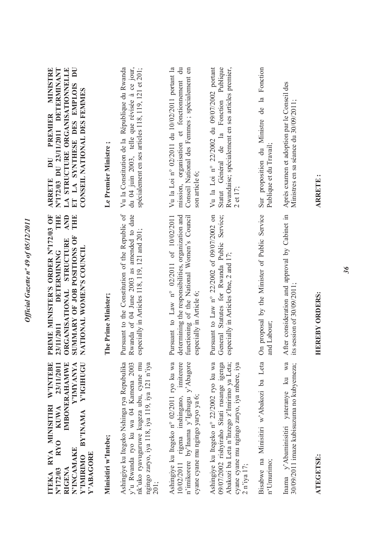| W'INTEBE<br>IMBONERAHAMWE<br>23/11/2011<br>Y'IGHUGU<br>Y'IMYANYA<br>ITEKA RYA MINISITRI<br><b>KUWA</b><br><b>BY'INAMA</b><br><b>RYO</b><br>N'INCAMAKE<br>Y'ABAGORE<br><b>V'IMIRIMO</b><br>RIGENA<br>Nº172/03 | PRIME MINISTER'S ORDER Nº172/03 OF<br>THE<br><b>AND</b><br>THE<br>SUMMARY OF JOB POSITIONS OF<br>ORGANISATIONAL STRUCTURE<br>NATIONAL WOMEN'S COUNCIL<br>DETERMINING<br>23/11/2011 | MINISTRE<br>LA STRUCTURE ORGANISATIONNELLE<br>ET LA SYNTHESE DES EMPLOIS DU<br>N°172/03 DU 23/11/2011 DETERMINANT<br>CONSEIL NATIONAL DES FEMMES<br><b>PREMIER</b><br>$\overline{\mathbf{D}}$<br><b>ARRETE</b> |
|--------------------------------------------------------------------------------------------------------------------------------------------------------------------------------------------------------------|------------------------------------------------------------------------------------------------------------------------------------------------------------------------------------|----------------------------------------------------------------------------------------------------------------------------------------------------------------------------------------------------------------|
| Minisitiri w'Intebe;                                                                                                                                                                                         | The Prime Minister;                                                                                                                                                                | Le Premier Ministre;                                                                                                                                                                                           |
| Ashingiye ku Itegeko Nshinga rya Repubulika<br>nk'uko ryavuguruwe kugeza ubu, cyane mu<br>ngingo zaryo, iya 118, iya 119, iya 121 n'iya<br>y'u Rwanda ryo ku wa 04 Kamena 2003<br>201;                       | Pursuant to the Constitution of the Republic of<br>Rwanda of 04 June 2003 as amended to date<br>especially in Articles 118, 119, 121 and 201;                                      | du 04 juin 2003, telle que révisée à ce jour,<br>Vu la Constitution de la République du Rwanda<br>spécialement en ses articles 118, 119, 121 et 201;                                                           |
| Ashingiye ku Itegeko n° 02/2011 ryo ku wa<br>10/02/2011 rigena inshingano, imiterere<br>n'imikorere by'Inama y'Igihugu y'Abagore<br>cyane cyane mu ngingo yaryo ya 6;                                        | determining the responsibilities, organization and<br>functioning of the National Women's Council<br>Pursuant to Law n° 02/2011 of 10/02/2011<br>especially in Article 6;          | Vu la Loi nº 02/2011 du 10/02/2011 portant la<br>mission, organisation et fonctionnement du<br>Conseil National des Femmes ; spécialement en<br>son article 6;                                                 |
| Ashingiye ku Itegeko n° 22/2002 ryo ku wa<br>09/07/2002 rishyiraho Sitati rusange igenga<br>Abakozi ba Leta n'Inzego z'Imirimo ya Leta;<br>cyane cyane mu ngingo zaryo, iya mbere, iya<br>2 n'iya 17;        | Pursuant to Law n° 22/2002 of 09/07/2002 on<br>General Statutes for Rwanda Public Service;<br>especially in Articles One, 2 and 17;                                                | Vu la Loi nº 22/2002 du 09/07/2002 portant<br>Rwandaise; spécialement en ses articles premier,<br>Statut Général de la Fonction Publique<br>2 et 17;                                                           |
| Bisabwe na Minisitiri w'Abakozi ba Leta<br>n'Umurimo;                                                                                                                                                        | On proposal by the Minister of Public Service<br>and Labour;                                                                                                                       | Fonction<br>Sur proposition du Ministre de la<br>Publique et du Travail;                                                                                                                                       |
| Inama y'Abaminisitiri yateranye ku wa<br>30/09/2011 imaze kubisuzuma no kubyemeza;                                                                                                                           | After consideration and approval by Cabinet in<br>its session of 30/09/2011                                                                                                        | Après examen et adoption par le Conseil des<br>Ministres en sa séance du 30/09/2011                                                                                                                            |
| <b>ATEGETSE:</b>                                                                                                                                                                                             | EREBY ORDERS:<br>≕                                                                                                                                                                 | <b>ARRETE:</b>                                                                                                                                                                                                 |

*Official Gazette nº 49 of 05/12/2011* 

Official Gazette nº 49 of 05/12/2011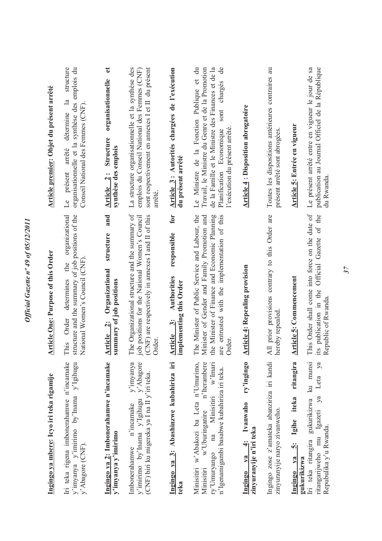| Ingingo ya mbere: Icyo iri teka rigamije                                                                                                                                        | <b>Article One: Purpose of this Order</b>                                                                                                                                                                 | Article premier: Objet du présent arrêté                                                                                                                                                                                                                          |
|---------------------------------------------------------------------------------------------------------------------------------------------------------------------------------|-----------------------------------------------------------------------------------------------------------------------------------------------------------------------------------------------------------|-------------------------------------------------------------------------------------------------------------------------------------------------------------------------------------------------------------------------------------------------------------------|
| Iri teka rigena imbonerahamwe n'incamake<br>y'imyanya y'imirimo by'Inama y'Igihugu<br>y'Abagore (CNF).                                                                          | organizational<br>structure and the summary of job positions of the<br>National Women's Council (CNF)<br>the<br>determines<br>Order<br>This                                                               | structure<br>organisationnelle et la synthèse des emplois du<br>$\overline{\mathbf{a}}$<br>Conseil National des Femmes (CNF<br>détermine<br>arrêté<br>présent<br>$L_{\rm e}$                                                                                      |
| Ingingo ya 2: Imbonerahamwe n'incamake<br>y'imyanya y'imirimo                                                                                                                   | and<br>structure<br>Organizational<br>summary of job positions<br>$\ddot{\mathbf{c}}$<br>rticle<br>◀                                                                                                      | $\mathbf{e}$<br>organisationnelle<br>Structure<br>synthèse des emplois<br>$\frac{1}{2}$ :<br><b>Article</b>                                                                                                                                                       |
| y'imyanya<br>y'Abagore<br>(CNF) biri ku migereka ya I na II y'iri teka.<br>y'imirimo by'Inama y'Igihugu<br>Imbonerahamwe n'incamake                                             | The Organizational structure and the summary of<br>(CNF) are respectively in annexes I and II of this<br>job positions for the National Women's Council<br>Order.                                         | La structure organisationnelle et la synthèse des<br>sont respectivement en annexes I et II du présent<br>emplois du Conseil National des Femmes (CNF)<br>arrêté.                                                                                                 |
| Ingingo ya 3: Abashinzwe kubahiriza iri<br>teka                                                                                                                                 | for<br>responsible<br><b>Authorities</b><br><b>Article</b> 3: Authoritie<br>implementing this Order                                                                                                       | Article 3 : Autorités chargées de l'exécution<br>du présent arrêté                                                                                                                                                                                                |
| Minisitiri w'Abakozi ba Leta n'Umurimo,<br>n'Iterambere<br>na Minisitiri w'Imari<br>n'Igenamigambi basabwe kubahiriza iri teka.<br>w'Uburinganire<br>ry'Umuryango<br>Minisitiri | The Minister of Public Service and Labour, the<br>the Minister of Finance and Economic Planning<br>are entrusted with the implementation of this<br>Minister of Gender and Family Promotion and<br>Order. | $\ddot{a}$<br>de la Famille et le Ministre des Finances et de la<br>$\mathbf{d}$ e<br>Travail, le Ministre du Genre et de la Promotion<br>Le Ministre de la Fonction Publique et<br>chargés<br>sont<br>l'exécution du présent arrêté.<br>Planification Economique |
| ry'ingingo<br>Ivanwaho<br>zinyuranyije n'iri teka<br>Ingingo ya 4:                                                                                                              | <b>Article 4: Repealing provision</b>                                                                                                                                                                     | <b>Article 4: Disposition abrogatoire</b>                                                                                                                                                                                                                         |
| Ingingo zose z'amateka abanziriza iri kandi<br>zinyuranyije naryo zivanweho.                                                                                                    | All prior provisions contrary to this Order are<br>hereby repealed                                                                                                                                        | Toutes les dispositions antérieures contraires au<br>présent arrêté sont abrogées.                                                                                                                                                                                |
| ritangira<br>Igihe iteka<br><u>က</u> ုံ<br>ya<br>Ingingo                                                                                                                        | <b>Article 5: Commencement</b>                                                                                                                                                                            | Article 5: Entrée en vigueur                                                                                                                                                                                                                                      |
| Igazeti ya Leta ya<br>gukurikizwa ku munsi<br>Repubulika y'u Rwanda.<br>ritangarijweho mu<br>Iri teka ritangira<br>gukurikizwa                                                  | This Order shall come into force on the date of<br>Official Gazette of the<br>its publication in the<br>Republic of Rwanda                                                                                | Le présent arrêté entre en vigueur le jour de sa<br>publication au Journal Officiel de la République<br>du Rwanda                                                                                                                                                 |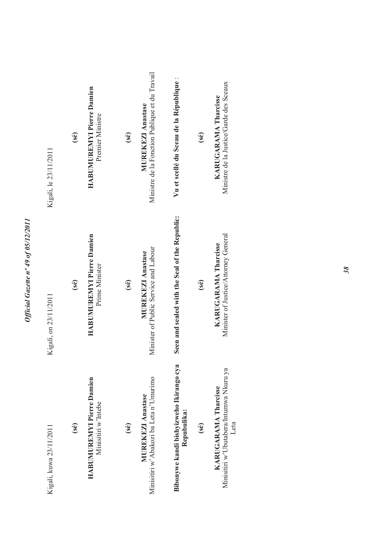| Kigali, kuwa 23/11/2011                                                 | Kigali, on 23/11/2011                                               | Kigali, le 23/11/2011                                                      |
|-------------------------------------------------------------------------|---------------------------------------------------------------------|----------------------------------------------------------------------------|
| (sé)                                                                    | $(\hat{\mathbf{s}}\hat{\mathbf{e}})$                                | (se)                                                                       |
| HABUMUREMYI Pierre Damien<br>Minisitiri w'Intebe                        | <b>HABUMUREMYI Pierre Damien</b><br>Prime Minister                  | <b>HABUMUREMYI Pierre Damien</b><br>Premier Ministre                       |
| (se)                                                                    | (sé)                                                                | (se)                                                                       |
| Minisitiri w'Abakozi ba Leta n'Umurimo<br><b>MUREKEZI Anastase</b>      | Minister of Public Service and Labour<br><b>MUREKEZI Anastase</b>   | Ministre de la Fonction Publique et du Travail<br><b>MUREKEZI Anastase</b> |
| Bibonywe kandi bishyizweho Ikirango cya<br>Repubulika:                  | Seen and sealed with the Seal of the Republic:                      | Vu et scellé du Sceau de la République :                                   |
| (sé)                                                                    | (se)                                                                | (sé)                                                                       |
| Minisitiri w'Ubutabera/Intumwa Nkuru ya<br>KARUGARAMA Tharcisse<br>Leta | Minister of Justice/Attorney General<br><b>KARUGARAMA Tharcisse</b> | Ministre de la Justice/Garde des Sceaux<br><b>KARUGARAMA Tharcisse</b>     |

*38*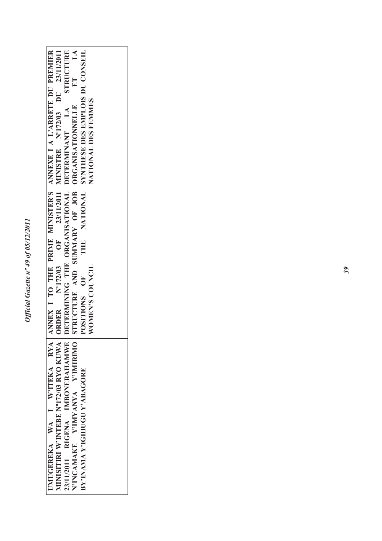Official Gazette nº 49 of 05/12/2011 *Official Gazette nº 49 of 05/12/2011* 

| ANNEX I TO THE PRIME MINISTER'S ANNEXE I A L'ARRETE DU PREMIER<br>ORDER Nº172/03 OF 23/11/2011 MINISTRE Nº172/03 DU 23/11/2011 | STRUCTURE AND SUMMARY OF JOB ORGANISATIONNELLE ET LA<br>THE NATIONAL SYNTHESE DES EMPLOIS DU CONSEIL<br>DETERMINING THE ORGANISATIONAL DETERMINANT LA STRUCTURE | NATIONAL DES FEMINES |
|--------------------------------------------------------------------------------------------------------------------------------|-----------------------------------------------------------------------------------------------------------------------------------------------------------------|----------------------|
|                                                                                                                                |                                                                                                                                                                 |                      |
|                                                                                                                                |                                                                                                                                                                 |                      |
|                                                                                                                                |                                                                                                                                                                 |                      |
|                                                                                                                                | POSITIONS OF                                                                                                                                                    | WOMEN'S COUNCIL      |
|                                                                                                                                |                                                                                                                                                                 |                      |
| <b>IMUGEREKA WA I W'ITEKA RYA</b><br>MINISITIRI W'INTEBE Nº172/03 RYO KUWA                                                     | 23/11/2011 RIGENA IMBONERAHAMWE<br>N'INCAMAKE Y'IMYANYA Y'IMIRIMO                                                                                               |                      |
|                                                                                                                                |                                                                                                                                                                 |                      |
|                                                                                                                                | BY'INAMA Y'IGHUGU Y'ABAGORE                                                                                                                                     |                      |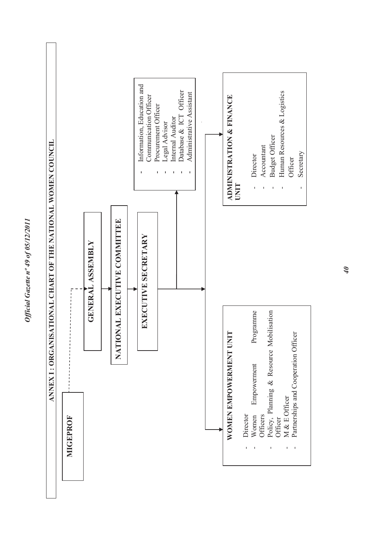*Official Gazette nº 49 of 05/12/2011*  Official Gazette nº 49 of 05/12/2011

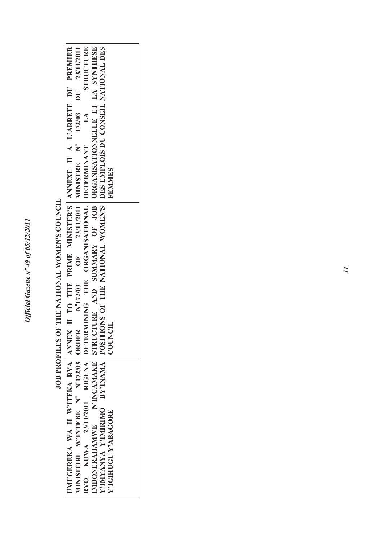Official Gazette nº 49 of 05/12/2011 *Official Gazette nº 49 of 05/12/2011* 

|                                                                                                           | STRUCTURE                                                                                                                                                         |                                                                                                                   |  |
|-----------------------------------------------------------------------------------------------------------|-------------------------------------------------------------------------------------------------------------------------------------------------------------------|-------------------------------------------------------------------------------------------------------------------|--|
| OF 23/11/2011 MINISTRE N° 172/03 DU 23/11/2011                                                            |                                                                                                                                                                   | <b>FEMMIES</b>                                                                                                    |  |
| IMUGEREKA WA II W'ITEKA RYA ANNEX II TO THE PRIME MINISTER'S ANNEXE II A L'ARRETE DU PREMIER <br>Nº172/03 | MBONERAHAMWE N'INCAMAKE STRUCTURE AND SUMMARY OF JOB ORGANISATIONNELLE ET LA SYNTHESE<br>RYO KUWA 23/11/2011 RIGENA DETERMINING THE ORGANISATIONAL DETERMINANT LA | Y'IMYANYA Y'IMIRIMO BY'INAMA   POSITIONS OF THE NATIONAL WONEN'S   DES EMPLOIS DU CONSEIL NATIONAL DES<br>COUNCIL |  |
| MINISITIRI W'INTEBE Nº Nº172/03   ORDER                                                                   |                                                                                                                                                                   | Y'IGHUGU Y'ABAGORE                                                                                                |  |

JOB PROFILES OF THE NATIONAL WOMEN'S COUNCIL **JOB PROFILES OF THE NATIONAL WOMEN'S COUNCIL**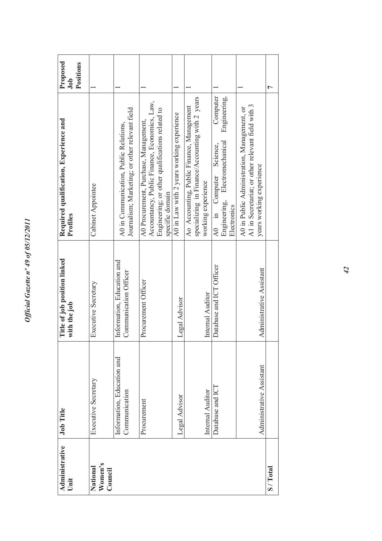Official Gazette nº 49 of 05/12/2011 *Official Gazette nº 49 of 05/12/2011* 

| Administrative<br>Unit         | Job Title                                   | Title of job position linked<br>with the job        | Required qualification, Experience and<br>Profiles                                                                                                          | Proposed<br>Positions<br>Job |
|--------------------------------|---------------------------------------------|-----------------------------------------------------|-------------------------------------------------------------------------------------------------------------------------------------------------------------|------------------------------|
| Women's<br>National<br>Council | Executive Secretary                         | Executive Secretary                                 | Cabinet Appointee                                                                                                                                           |                              |
|                                | Information, Education and<br>Communication | Information, Education and<br>Communication Officer | Journalism; Marketing; or other relevant field<br>A0 in Communication, Public Relations,                                                                    |                              |
|                                | Procurement                                 | Procurement Officer                                 | Accountancy, Public Finance, Economics, Law,<br>Engineering; or other qualifications related to<br>A0 Procurement, Purchase, Management,<br>specific domain |                              |
|                                | Legal Advisor                               | Legal Advisor                                       | A0 in Law with 2 years working experience                                                                                                                   |                              |
|                                | Internal Auditor                            | Internal Auditor                                    | specializing in Finance/Accounting with 2 years<br>Ao Accounting, Public Finance, Management<br>working experience                                          |                              |
|                                | Database and ICT                            | Database and ICT Officer                            | Computer<br>Engineering,<br>Electromechanical<br>Science,<br>Computer<br>Engineering,<br>Electronics<br>$\Xi$<br>$\lambda 0$                                |                              |
|                                | Administrative Assistant                    | Administrative Assistant                            | A1 in Secretariat; or other relevant field with 3<br>A0 in Public Administration, Management, or<br>years working experience                                |                              |
| S/Total                        |                                             |                                                     |                                                                                                                                                             | ᡕ                            |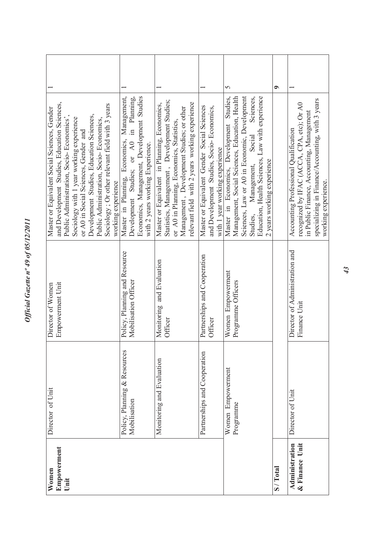| 12/201                   |
|--------------------------|
| of $05/J$                |
| 49<br>$\boldsymbol{n}^o$ |
| azette                   |
| cia'<br>، ما اور<br>つんこ  |

| Women                      | Director of Unit             | Director of Women              | Master or Equivalent Social Sciences, Gender                                                |           |
|----------------------------|------------------------------|--------------------------------|---------------------------------------------------------------------------------------------|-----------|
| <b>Empowerment</b><br>Unit |                              | Empowerment Unit               | and Development Studies, Education Sciences,<br>Public Administration, Socio-Economics'     |           |
|                            |                              |                                | Sociology with 1 year working experience<br>or A0 in Social Sciences, Gender and            |           |
|                            |                              |                                | Development Studies, Education Sciences,                                                    |           |
|                            |                              |                                | Public Administration, Socio-Economics,                                                     |           |
|                            |                              |                                | Sociology ; Or other relevant field with 3 years                                            |           |
|                            | Policy, Planning & Resources | Policy, Planning and Resource  | Management,<br>Economics,<br>Master in Planning,<br>working experience                      |           |
|                            | Mobilisation                 | Mobilisation Officer           | Development Studies; or A0 in Planning,                                                     |           |
|                            |                              |                                | Economics, Management, Development Studies                                                  |           |
|                            |                              |                                | with 2 years working Experience.                                                            |           |
|                            | Monitoring and Evaluation    | Monitoring and Evaluation      | Master or Equivalent in Planning, Economics,                                                |           |
|                            |                              | Officer                        | Statistics, Management, Development Studies;                                                |           |
|                            |                              |                                | or A0 in Planning, Economics, Statistics,                                                   |           |
|                            |                              |                                | Management, Development Studies; or other<br>relevant field with 2 years working experience |           |
|                            |                              |                                |                                                                                             |           |
|                            | Partnerships and Cooperation | Partnerships and Cooperation   | Master or Equivalent Gender Social Sciences                                                 |           |
|                            |                              | Officer                        | and Development Studies, Socio-Economics,                                                   |           |
|                            |                              |                                | with 1 year working experience                                                              |           |
|                            | Women Empowerment            | Women Empowerment              | Master in Economics, Development Studies,                                                   | 5         |
|                            | Programme                    | Programme Officers             | Management, Social Sciences, Education, Health                                              |           |
|                            |                              |                                | Sciences, Law or A0 in Economic, Development                                                |           |
|                            |                              |                                | Sciences,<br>Social<br>Management,<br>Studies,                                              |           |
|                            |                              |                                | Education, Health Sciences, Law with experience                                             |           |
|                            |                              |                                | 2 years working experience                                                                  |           |
| S/Total                    |                              |                                |                                                                                             | $\bullet$ |
| Administration             | Director of Unit             | Director of Administration and | Accounting Professional Qualification                                                       |           |
| & Finance Unit             |                              | Finance Unit                   | recognized by IFAC (ACCA, CPA, etc); Or A0                                                  |           |
|                            |                              |                                | in Public Finance, Accounting, Management                                                   |           |
|                            |                              |                                | specializing in Finance/Accounting, with 3 years                                            |           |
|                            |                              |                                | working experience.                                                                         |           |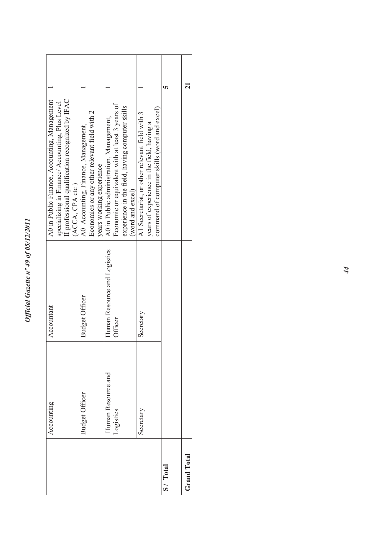| 07<br>$\ddot{\cdot}$<br>ì                       |
|-------------------------------------------------|
| Ì<br>t<br>of $05/$                              |
| $\overline{\mathfrak{h}}$<br>$\boldsymbol{n}^o$ |
| er oft.<br>C                                    |
| $\gamma_{ff\alpha\mu}$                          |

|                    | Accounting            | Accountant                   | A0 in Public Finance, Accounting, Management     |                |
|--------------------|-----------------------|------------------------------|--------------------------------------------------|----------------|
|                    |                       |                              | specializing in Finance/ Accounting, Plus Level  |                |
|                    |                       |                              | II professional qualification recognized by IFAC |                |
|                    |                       |                              | (ACCA, CPA etc)                                  |                |
|                    | <b>Budget Officer</b> | <b>Budget Officer</b>        | A0 Accounting, Finance, Management,              |                |
|                    |                       |                              | Economics or any other relevant field with 2     |                |
|                    |                       |                              | years working experience                         |                |
|                    | Human Resource and    | Human Resource and Logistics | A0 in Public administration, Management,         |                |
|                    | Logistics             | Officer                      | Economic or equivalent with at least 3 years of  |                |
|                    |                       |                              | experience in the field, having computer skills  |                |
|                    |                       |                              | (word and excel)                                 |                |
|                    | Secretary             | Secretary                    | A1 Secretariat, or other relevant field with 3   |                |
|                    |                       |                              | years of experience in the field, having a       |                |
|                    |                       |                              | command of computer skills (word and excel)      |                |
| S/Total            |                       |                              |                                                  |                |
|                    |                       |                              |                                                  |                |
| <b>Grand Total</b> |                       |                              |                                                  | $\overline{5}$ |
|                    |                       |                              |                                                  |                |